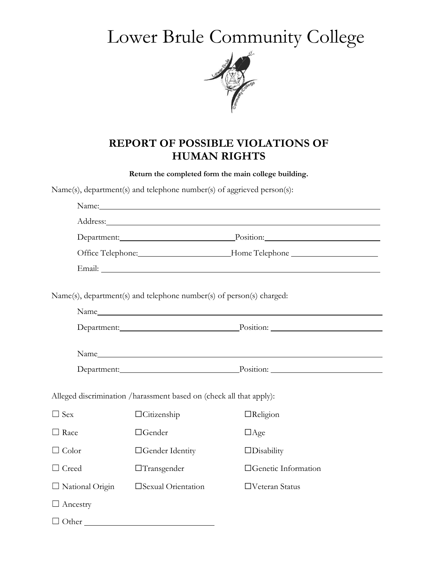## Lower Brule Community College



## **REPORT OF POSSIBLE VIOLATIONS OF HUMAN RIGHTS**

**Return the completed form the main college building.** 

Name(s), department(s) and telephone number(s) of aggrieved person(s):

| Department: Position: Position:                                                  |                                                                      |                                 |  |
|----------------------------------------------------------------------------------|----------------------------------------------------------------------|---------------------------------|--|
| Office Telephone: _____________________Home Telephone __________________________ |                                                                      |                                 |  |
|                                                                                  |                                                                      |                                 |  |
|                                                                                  | Name(s), department(s) and telephone number(s) of person(s) charged: |                                 |  |
|                                                                                  | Name                                                                 |                                 |  |
|                                                                                  |                                                                      | Department: Position: Position: |  |
|                                                                                  |                                                                      |                                 |  |
| Department: Position: Position:                                                  |                                                                      |                                 |  |
|                                                                                  | Alleged discrimination /harassment based on (check all that apply):  |                                 |  |
| $\Box$ Sex                                                                       | $\Box$ Citizenship                                                   | $\Box$ Religion                 |  |
| $\Box$ Race                                                                      | $\Box$ Gender                                                        | $\Box$ Age                      |  |
| $\Box$ Color                                                                     | □Gender Identity                                                     | $\Box$ Disability               |  |
| $\Box$ Creed                                                                     | $\Box$ Transgender                                                   | □Genetic Information            |  |
| $\Box$ National Origin                                                           | □Sexual Orientation                                                  | □Veteran Status                 |  |
| $\Box$ Ancestry                                                                  |                                                                      |                                 |  |
| $\Box$ Other                                                                     |                                                                      |                                 |  |